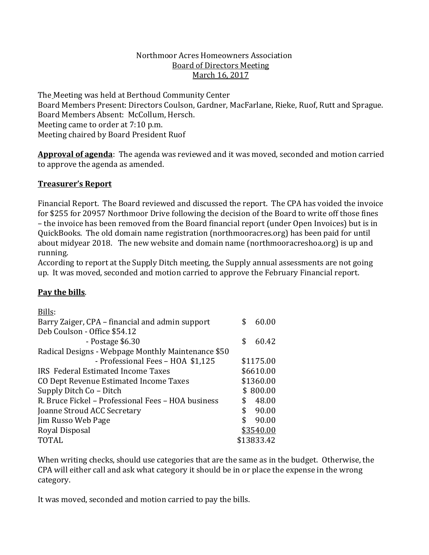### Northmoor Acres Homeowners Association Board of Directors Meeting March 16, 2017

The Meeting was held at Berthoud Community Center Board Members Present: Directors Coulson, Gardner, MacFarlane, Rieke, Ruof, Rutt and Sprague. Board Members Absent: McCollum, Hersch. Meeting came to order at 7:10 p.m. Meeting chaired by Board President Ruof

**Approval of agenda**: The agenda was reviewed and it was moved, seconded and motion carried to approve the agenda as amended.

## **Treasurer's Report**

Financial Report. The Board reviewed and discussed the report. The CPA has voided the invoice for \$255 for 20957 Northmoor Drive following the decision of the Board to write off those fines – the invoice has been removed from the Board financial report (under Open Invoices) but is in QuickBooks. The old domain name registration (northmooracres.org) has been paid for until about midyear 2018. The new website and domain name (northmooracreshoa.org) is up and running.

According to report at the Supply Ditch meeting, the Supply annual assessments are not going up. It was moved, seconded and motion carried to approve the February Financial report.

## **Pay the bills**.

| Bills:                                             |            |           |
|----------------------------------------------------|------------|-----------|
| Barry Zaiger, CPA - financial and admin support    | \$         | 60.00     |
| Deb Coulson - Office \$54.12                       |            |           |
| - Postage $$6.30$                                  | \$         | 60.42     |
| Radical Designs - Webpage Monthly Maintenance \$50 |            |           |
| - Professional Fees - HOA \$1,125                  | \$1175.00  |           |
| IRS Federal Estimated Income Taxes                 |            | \$6610.00 |
| CO Dept Revenue Estimated Income Taxes             | \$1360.00  |           |
| Supply Ditch Co - Ditch                            |            | \$800.00  |
| R. Bruce Fickel – Professional Fees – HOA business | \$         | 48.00     |
| Joanne Stroud ACC Secretary                        | \$         | 90.00     |
| Jim Russo Web Page                                 | \$         | 90.00     |
| Royal Disposal                                     | \$3540.00  |           |
| <b>TOTAL</b>                                       | \$13833.42 |           |

When writing checks, should use categories that are the same as in the budget. Otherwise, the CPA will either call and ask what category it should be in or place the expense in the wrong category.

It was moved, seconded and motion carried to pay the bills.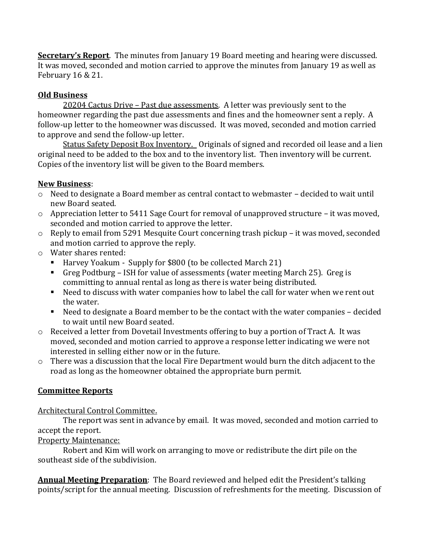**Secretary's Report.** The minutes from January 19 Board meeting and hearing were discussed. It was moved, seconded and motion carried to approve the minutes from January 19 as well as February 16 & 21.

# **Old Business**

20204 Cactus Drive – Past due assessments. A letter was previously sent to the homeowner regarding the past due assessments and fines and the homeowner sent a reply. A follow-up letter to the homeowner was discussed. It was moved, seconded and motion carried to approve and send the follow-up letter.

Status Safety Deposit Box Inventory. Originals of signed and recorded oil lease and a lien original need to be added to the box and to the inventory list. Then inventory will be current. Copies of the inventory list will be given to the Board members.

## **New Business**:

- o Need to designate a Board member as central contact to webmaster decided to wait until new Board seated.
- o Appreciation letter to 5411 Sage Court for removal of unapproved structure it was moved, seconded and motion carried to approve the letter.
- o Reply to email from 5291 Mesquite Court concerning trash pickup it was moved, seconded and motion carried to approve the reply.
- o Water shares rented:
	- Harvey Yoakum Supply for \$800 (to be collected March 21)
	- Greg Podtburg ISH for value of assessments (water meeting March 25). Greg is committing to annual rental as long as there is water being distributed.
	- Need to discuss with water companies how to label the call for water when we rent out the water.
	- Need to designate a Board member to be the contact with the water companies decided to wait until new Board seated.
- o Received a letter from Dovetail Investments offering to buy a portion of Tract A. It was moved, seconded and motion carried to approve a response letter indicating we were not interested in selling either now or in the future.
- o There was a discussion that the local Fire Department would burn the ditch adjacent to the road as long as the homeowner obtained the appropriate burn permit.

## **Committee Reports**

Architectural Control Committee.

The report was sent in advance by email. It was moved, seconded and motion carried to accept the report.

### Property Maintenance:

Robert and Kim will work on arranging to move or redistribute the dirt pile on the southeast side of the subdivision.

**Annual Meeting Preparation**: The Board reviewed and helped edit the President's talking points/script for the annual meeting. Discussion of refreshments for the meeting. Discussion of